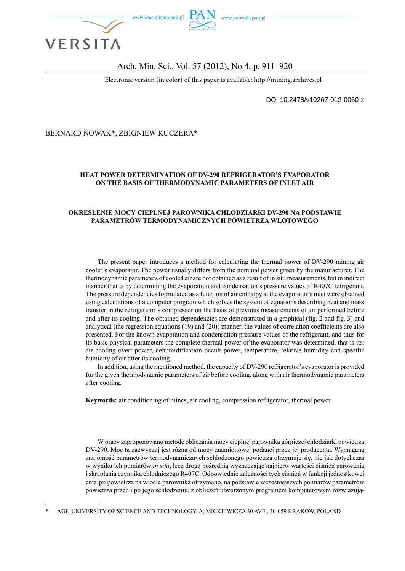

### Arch. Min. Sci., Vol. 57 (2012), No 4, p. 911–920

Electronic version (in color) of this paper is available: http://mining.archives.pl

DOI 10.2478/v10267-012-0060-z

#### BERNARD NOWAK\*, ZBIGNIEW KUCZERA\*

### **HEAT POWER DETERMINATION OF DV-290 REFRIGERATOR'S EVAPORATOR ON THE BASIS OF THERMODYNAMIC PARAMETERS OF INLET AIR**

#### **OKREŚLENIE MOCY CIEPLNEJ PAROWNIKA CHŁODZIARKI DV-290 NA PODSTAWIE PARAMETRÓW TERMODYNAMICZNYCH POWIETRZA WLOTOWEGO**

The present paper introduces a method for calculating the thermal power of DV-290 mining air cooler's evaporator. The power usually differs from the nominal power given by the manufacturer. The thermodynamic parameters of cooled air are not obtained as a result of in situ measurements, but in indirect manner that is by determining the evaporation and condensation's pressure values of R407C refrigerant. The pressure dependencies formulated as a function of air enthalpy at the evaporator's inlet were obtained using calculations of a computer program which solves the system of equations describing heat and mass transfer in the refrigerator's compressor on the basis of previous measurements of air performed before and after its cooling. The obtained dependencies are demonstrated in a graphical (fig. 2 and fig. 3) and analytical (the regression equations (19) and (20)) manner, the values of correlation coefficients are also presented. For the known evaporation and condensation pressure values of the refrigerant, and thus for its basic physical parameters the complete thermal power of the evaporator was determined, that is its: air cooling overt power, dehumidification occult power, temperature, relative humidity and specific humidity of air after its cooling.

In addition, using the mentioned method, the capacity of DV-290 refrigerator's evaporator is provided for the given thermodynamic parameters of air before cooling, along with air thermodynamic parameters after cooling.

**Keywords:** air conditioning of mines, air cooling, compression refrigerator, thermal power

W pracy zaproponowano metodę obliczania mocy cieplnej parownika górniczej chłodziarki powietrza DV-290. Moc ta zazwyczaj jest różna od mocy znamionowej podanej przez jej producenta. Wymaganą znajomość parametrów termodynamicznych schłodzonego powietrza otrzymuje się, nie jak dotychczas w wyniku ich pomiarów *in situ*, lecz drogą pośrednią wyznaczając najpierw wartości ciśnień parowania i skraplania czynnika chłodniczego R407C. Odpowiednie zależności tych ciśnień w funkcji jednostkowej entalpii powietrza na wlocie parownika otrzymano, na podstawie wcześniejszych pomiarów parametrów powietrza przed i po jego schłodzeniu, z obliczeń utworzonym programem komputerowym rozwiązują-

<sup>\*</sup> AGH UNIVERSITY OF SCIENCE AND TECHNOLOGY, A. MICKIEWICZA 30 AVE., 30-059 KRAKOW, POLAND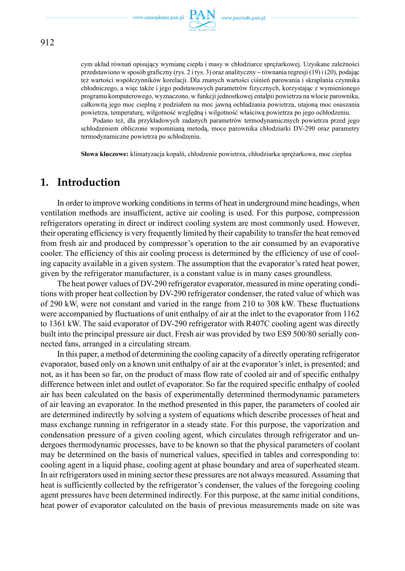

cym układ równań opisujący wymianę ciepła i masy w chłodziarce sprężarkowej. Uzyskane zależności przedstawiono w sposób graficzny (rys. 2 i rys. 3) oraz analityczny **–** równania regresji (19) i (20), podając też wartości współczynników korelacji. Dla znanych wartości ciśnień parowania i skraplania czynnika chłodniczego, a więc także i jego podstawowych parametrów fizycznych, korzystając z wymienionego programu komputerowego, wyznaczono, w funkcji jednostkowej entalpii powietrza na wlocie parownika, całkowitą jego moc cieplną z podziałem na moc jawną ochładzania powietrza, utajoną moc osuszania powietrza, temperaturę, wilgotność względną i wilgotność właściwą powietrza po jego ochłodzeniu.

Podano też, dla przykładowych zadanych parametrów termodynamicznych powietrza przed jego schłodzeniem obliczone wspomnianą metodą, moce parownika chłodziarki DV-290 oraz parametry termodynamiczne powietrza po schłodzeniu.

**Słowa kluczowe:** klimatyzacja kopalń, chłodzenie powietrza, chłodziarka sprężarkowa, moc cieplna

## **1. Introduction**

In order to improve working conditions in terms of heat in underground mine headings, when ventilation methods are insufficient, active air cooling is used. For this purpose, compression refrigerators operating in direct or indirect cooling system are most commonly used. However, their operating efficiency is very frequently limited by their capability to transfer the heat removed from fresh air and produced by compressor's operation to the air consumed by an evaporative cooler. The efficiency of this air cooling process is determined by the efficiency of use of cooling capacity available in a given system. The assumption that the evaporator's rated heat power, given by the refrigerator manufacturer, is a constant value is in many cases groundless.

The heat power values of DV-290 refrigerator evaporator, measured in mine operating conditions with proper heat collection by DV-290 refrigerator condenser, the rated value of which was of 290 kW, were not constant and varied in the range from 210 to 308 kW. These fluctuations were accompanied by fluctuations of unit enthalpy of air at the inlet to the evaporator from 1162 to 1361 kW. The said evaporator of DV-290 refrigerator with R407C cooling agent was directly built into the principal pressure air duct. Fresh air was provided by two ES9 500/80 serially connected fans, arranged in a circulating stream.

In this paper, a method of determining the cooling capacity of a directly operating refrigerator evaporator, based only on a known unit enthalpy of air at the evaporator's inlet, is presented; and not, as it has been so far, on the product of mass flow rate of cooled air and of specific enthalpy difference between inlet and outlet of evaporator. So far the required specific enthalpy of cooled air has been calculated on the basis of experimentally determined thermodynamic parameters of air leaving an evaporator. In the method presented in this paper, the parameters of cooled air are determined indirectly by solving a system of equations which describe processes of heat and mass exchange running in refrigerator in a steady state. For this purpose, the vaporization and condensation pressure of a given cooling agent, which circulates through refrigerator and undergoes thermodynamic processes, have to be known so that the physical parameters of coolant may be determined on the basis of numerical values, specified in tables and corresponding to: cooling agent in a liquid phase, cooling agent at phase boundary and area of superheated steam. In air refrigerators used in mining sector these pressures are not always measured. Assuming that heat is sufficiently collected by the refrigerator's condenser, the values of the foregoing cooling agent pressures have been determined indirectly. For this purpose, at the same initial conditions, heat power of evaporator calculated on the basis of previous measurements made on site was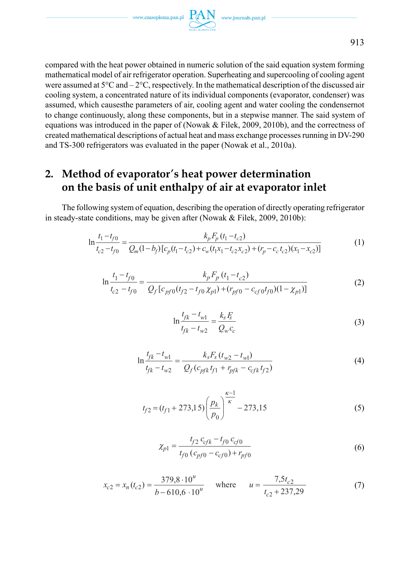compared with the heat power obtained in numeric solution of the said equation system forming mathematical model of air refrigerator operation. Superheating and supercooling of cooling agent were assumed at 5°C and – 2°C, respectively. In the mathematical description of the discussed air cooling system, a concentrated nature of its individual components (evaporator, condenser) was assumed, which causesthe parameters of air, cooling agent and water cooling the condensernot to change continuously, along these components, but in a stepwise manner. The said system of equations was introduced in the paper of (Nowak & Filek, 2009, 2010b), and the correctness of created mathematical descriptions of actual heat and mass exchange processes running in DV-290 and TS-300 refrigerators was evaluated in the paper (Nowak et al., 2010a).

# **2. Method of evaporator's heat power determination on the basis of unit enthalpy of air at evaporator inlet**

The following system of equation, describing the operation of directly operating refrigerator in steady-state conditions, may be given after (Nowak & Filek, 2009, 2010b):

$$
\ln \frac{t_1 - t_{f0}}{t_{c2} - t_{f0}} = \frac{k_p F_p (t_1 - t_{c2})}{Q_m (1 - b_f) [c_p (t_1 - t_{c2}) + c_w (t_1 x_1 - t_{c2} x_{c2}) + (r_p - c_c t_{c2}) (x_1 - x_{c2})]}
$$
(1)

$$
\ln \frac{t_1 - t_{f0}}{t_{c2} - t_{f0}} = \frac{k_p F_p (t_1 - t_{c2})}{Q_f [c_{pf0}(t_{f2} - t_{f0} \chi_{p1}) + (r_{pf0} - c_{cf0}t_{f0})(1 - \chi_{p1})]}
$$
(2)

$$
\ln \frac{t_{fk} - t_{w1}}{t_{fk} - t_{w2}} = \frac{k_s F_s}{Q_w c_c}
$$
 (3)

$$
\ln \frac{t_{fk} - t_{w1}}{t_{fk} - t_{w2}} = \frac{k_s F_s (t_{w2} - t_{w1})}{Q_f (c_{pfk} t_{f1} + r_{pfk} - c_{cfk} t_{f2})}
$$
(4)

$$
t_{f2} = (t_{f1} + 273, 15) \left(\frac{p_k}{p_0}\right)^{\frac{\kappa - 1}{\kappa}} - 273, 15
$$
 (5)

$$
\chi_{p1} = \frac{t_{f2} c_{cfk} - t_{f0} c_{cf0}}{t_{f0} (c_{pf0} - c_{cf0}) + r_{pf0}}
$$
(6)

$$
x_{c2} = x_n(t_{c2}) = \frac{379.8 \cdot 10^u}{b - 610.6 \cdot 10^u} \quad \text{where} \quad u = \frac{7.5t_{c2}}{t_{c2} + 237.29} \tag{7}
$$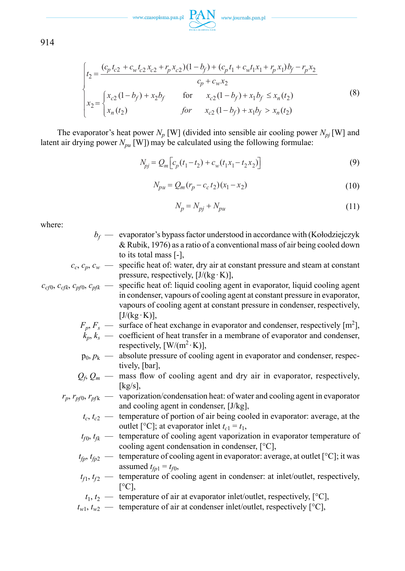

914

$$
\begin{cases}\nt_2 = \frac{(c_p t_{c2} + c_w t_{c2} x_{c2} + r_p x_{c2})(1 - b_f) + (c_p t_1 + c_w t_1 x_1 + r_p x_1) b_f - r_p x_2}{c_p + c_w x_2} \\
x_2 = \begin{cases}\nx_{c2} (1 - b_f) + x_2 b_f & \text{for } x_{c2} (1 - b_f) + x_1 b_f \le x_n(t_2) \\
x_n(t_2) & \text{for } x_{c2} (1 - b_f) + x_1 b_f > x_n(t_2)\n\end{cases}\n\tag{8}
$$

The evaporator's heat power  $N_p$  [W] (divided into sensible air cooling power  $N_{pi}$ [W] and latent air drying power  $N_{pu}$  [W]) may be calculated using the following formulae:

$$
N_{pj} = Q_m \left[ c_p (t_1 - t_2) + c_w (t_1 x_1 - t_2 x_2) \right]
$$
\n(9)

$$
N_{pu} = Q_m (r_p - c_c t_2)(x_1 - x_2)
$$
\n(10)

$$
N_p = N_{pj} + N_{pu} \tag{11}
$$

where:

- *bf* — evaporator's bypass factor understood in accordance with (Kołodziejczyk & Rubik, 1976) as a ratio of a conventional mass of air being cooled down to its total mass [-],
- $c_c$ ,  $c_p$ ,  $c_w$  specific heat of: water, dry air at constant pressure and steam at constant pressure, respectively,  $[J/(kg \cdot K)]$ ,
- $c_{c}$ <sub>0</sub>,  $c_{c}$ <sub>*cfk*</sub>,  $c_{p}$ *c<sub>pfk</sub>* specific heat of: liquid cooling agent in evaporator, liquid cooling agent in condenser, vapours of cooling agent at constant pressure in evaporator, vapours of cooling agent at constant pressure in condenser, respectively,  $[J/(kg \cdot K)],$ 
	- $F_p, F_s$  surface of heat exchange in evaporator and condenser, respectively [m<sup>2</sup>],
	- $k_p, k_s$  coefficient of heat transfer in a membrane of evaporator and condenser, respectively,  $[W/(m^2 \cdot K)]$ ,
	- $p_0$ ,  $p_k$  absolute pressure of cooling agent in evaporator and condenser, respectively, [bar],
	- $Q_f Q_m$  mass flow of cooling agent and dry air in evaporator, respectively, [kg/s],
	- $r_p$ ,  $r_{pf0}$ ,  $r_{pfk}$  vaporization/condensation heat: of water and cooling agent in evaporator and cooling agent in condenser, [J/kg],
		- $t_c, t_{c2}$  temperature of portion of air being cooled in evaporator: average, at the outlet [°C]; at evaporator inlet  $t_{c1} = t_1$ ,
		- $t_{f0}$ ,  $t_{fk}$  temperature of cooling agent vaporization in evaporator temperature of cooling agent condensation in condenser, [°C],
		- $t_{fp}$ ,  $t_{fp2}$  temperature of cooling agent in evaporator: average, at outlet [°C]; it was assumed  $t_{fp1} = t_{f0}$ ,
		- $t_{f1}$ ,  $t_{f2}$  temperature of cooling agent in condenser: at inlet/outlet, respectively,  $\lceil$ <sup>o</sup>C],

$$
t_1, t_2
$$
 — temperature of air at evaporator inlet/outlet, respectively, [°C],

 $t_{w1}$ ,  $t_{w2}$  — temperature of air at condenser inlet/outlet, respectively [ $\textdegree$ C],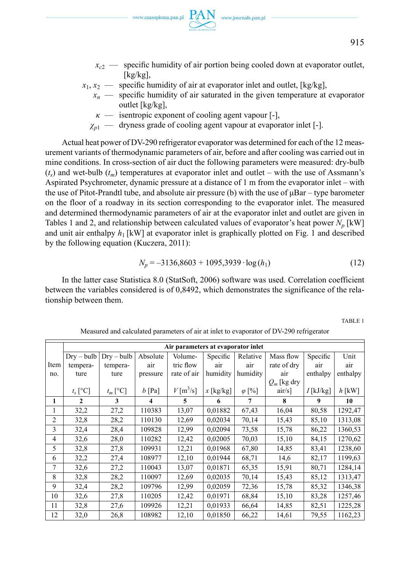- $x_{c2}$  specific humidity of air portion being cooled down at evaporator outlet,  $[kg/kg]$
- $x_1, x_2 \rightarrow$  specific humidity of air at evaporator inlet and outlet, [kg/kg],
	- $x_n$  specific humidity of air saturated in the given temperature at evaporator outlet [kg/kg],
		- $\kappa$  isentropic exponent of cooling agent vapour  $[-]$ ,
	- *χp*1 dryness grade of cooling agent vapour at evaporator inlet [-].

Actual heat power of DV-290 refrigerator evaporator was determined for each of the 12 measurement variants of thermodynamic parameters of air, before and after cooling was carried out in mine conditions. In cross-section of air duct the following parameters were measured: dry-bulb  $(t<sub>s</sub>)$  and wet-bulb  $(t<sub>m</sub>)$  temperatures at evaporator inlet and outlet – with the use of Assmann's Aspirated Psychrometer, dynamic pressure at a distance of 1 m from the evaporator inlet – with the use of Pitot-Prandtl tube, and absolute air pressure (b) with the use of  $\mu Bar - type$  barometer on the floor of a roadway in its section corresponding to the evaporator inlet. The measured and determined thermodynamic parameters of air at the evaporator inlet and outlet are given in Tables 1 and 2, and relationship between calculated values of evaporator's heat power  $N_p$  [kW] and unit air enthalpy  $h_1$  [kW] at evaporator inlet is graphically plotted on Fig. 1 and described by the following equation (Kuczera, 2011):

$$
N_p = -3136,8603 + 1095,3939 \cdot \log(h_1) \tag{12}
$$

In the latter case Statistica 8.0 (StatSoft, 2006) software was used. Correlation coefficient between the variables considered is of 0,8492, which demonstrates the significance of the relationship between them.

TABLE 1

|                | Air parameters at evaporator inlet |              |          |                         |             |               |               |             |          |
|----------------|------------------------------------|--------------|----------|-------------------------|-------------|---------------|---------------|-------------|----------|
|                | $Drv - bulb$                       | $Drv - bulb$ | Absolute | Volume-                 | Specific    | Relative      | Mass flow     | Specific    | Unit     |
| Item           | tempera-                           | tempera-     | air      | tric flow               | air         | air           | rate of dry   | air         | air      |
| no.            | ture                               | ture         | pressure | rate of air             | humidity    | humidity      | air           | enthalpy    | enthalpy |
|                |                                    |              |          |                         |             |               | $Q_m$ [kg dry |             |          |
|                | $t_s$ [°C]                         | $t_m$ [°C]   | $b$ [Pa] | $V$ [m <sup>3</sup> /s] | $x$ [kg/kg] | $\varphi$ [%] | $air/s$ ]     | $I$ [kJ/kg] | $h$ [kW] |
| 1              | $\mathbf{2}$                       | 3            | 4        | 5                       | 6           | 7             | 8             | 9           | 10       |
| 1              | 32,2                               | 27,2         | 110383   | 13,07                   | 0.01882     | 67,43         | 16,04         | 80,58       | 1292,47  |
| $\overline{c}$ | 32,8                               | 28,2         | 110130   | 12,69                   | 0,02034     | 70,14         | 15,43         | 85,10       | 1313,08  |
| 3              | 32,4                               | 28,4         | 109828   | 12,99                   | 0,02094     | 73,58         | 15,78         | 86,22       | 1360,53  |
| 4              | 32,6                               | 28,0         | 110282   | 12,42                   | 0.02005     | 70,03         | 15,10         | 84,15       | 1270,62  |
| 5              | 32,8                               | 27,8         | 109931   | 12,21                   | 0,01968     | 67,80         | 14,85         | 83,41       | 1238,60  |
| 6              | 32,2                               | 27,4         | 108977   | 12,10                   | 0,01944     | 68,71         | 14,6          | 82,17       | 1199,63  |
| 7              | 32,6                               | 27,2         | 110043   | 13,07                   | 0,01871     | 65,35         | 15,91         | 80,71       | 1284,14  |
| 8              | 32,8                               | 28,2         | 110097   | 12,69                   | 0,02035     | 70,14         | 15,43         | 85,12       | 1313,47  |
| 9              | 32,4                               | 28,2         | 109796   | 12,99                   | 0,02059     | 72,36         | 15,78         | 85,32       | 1346,38  |
| 10             | 32,6                               | 27,8         | 110205   | 12,42                   | 0,01971     | 68,84         | 15,10         | 83,28       | 1257,46  |
| 11             | 32,8                               | 27,6         | 109926   | 12,21                   | 0,01933     | 66,64         | 14,85         | 82,51       | 1225,28  |
| 12             | 32,0                               | 26,8         | 108982   | 12,10                   | 0.01850     | 66,22         | 14,61         | 79,55       | 1162,23  |

Measured and calculated parameters of air at inlet to evaporator of DV-290 refrigerator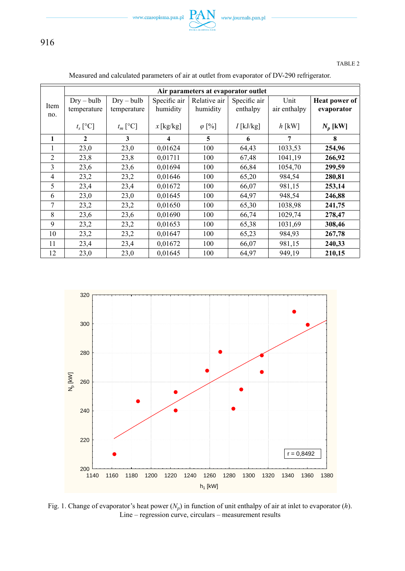

916

### TABLE 2

|                | Air parameters at evaporator outlet |              |              |               |              |              |                      |  |
|----------------|-------------------------------------|--------------|--------------|---------------|--------------|--------------|----------------------|--|
|                | $Dry - bulb$                        | $Dry - bulb$ | Specific air | Relative air  | Specific air | Unit         | <b>Heat power of</b> |  |
| Item           | temperature                         | temperature  | humidity     | humidity      | enthalpy     | air enthalpy | evaporator           |  |
| no.            |                                     |              |              |               |              |              |                      |  |
|                | $t_s$ [°C]                          | $t_m$ [°C]   | $x$ [kg/kg]  | $\varphi$ [%] | $I$ [kJ/kg]  | $h$ [kW]     | $N_p$ [kW]           |  |
| 1              | $\mathbf{2}$                        | 3            | 4            | 5             | 6            | 7            | 8                    |  |
| 1              | 23,0                                | 23,0         | 0,01624      | 100           | 64,43        | 1033,53      | 254,96               |  |
| $\overline{2}$ | 23,8                                | 23,8         | 0,01711      | 100           | 67,48        | 1041,19      | 266,92               |  |
| 3              | 23,6                                | 23,6         | 0,01694      | 100           | 66,84        | 1054,70      | 299,59               |  |
| $\overline{4}$ | 23,2                                | 23,2         | 0,01646      | 100           | 65,20        | 984,54       | 280,81               |  |
| 5              | 23,4                                | 23,4         | 0,01672      | 100           | 66,07        | 981,15       | 253,14               |  |
| 6              | 23,0                                | 23,0         | 0,01645      | 100           | 64,97        | 948,54       | 246,88               |  |
| 7              | 23,2                                | 23,2         | 0,01650      | 100           | 65,30        | 1038.98      | 241,75               |  |
| 8              | 23,6                                | 23,6         | 0,01690      | 100           | 66,74        | 1029,74      | 278,47               |  |
| 9              | 23,2                                | 23,2         | 0,01653      | 100           | 65,38        | 1031,69      | 308,46               |  |
| 10             | 23,2                                | 23,2         | 0,01647      | 100           | 65,23        | 984,93       | 267,78               |  |
| 11             | 23,4                                | 23,4         | 0,01672      | 100           | 66,07        | 981,15       | 240,33               |  |
| 12             | 23,0                                | 23,0         | 0,01645      | 100           | 64,97        | 949,19       | 210,15               |  |

### Measured and calculated parameters of air at outlet from evaporator of DV-290 refrigerator.



Fig. 1. Change of evaporator's heat power  $(N_p)$  in function of unit enthalpy of air at inlet to evaporator  $(h)$ . Line – regression curve, circulars – measurement results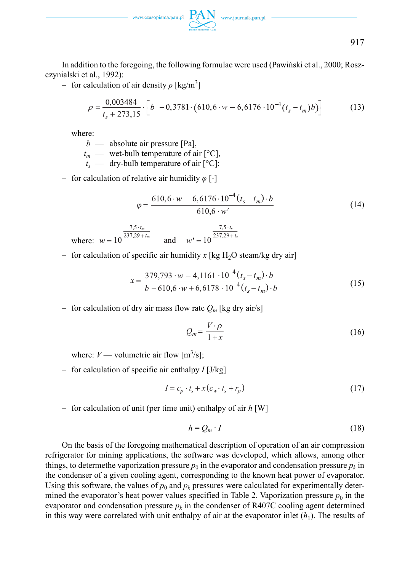

917

In addition to the foregoing, the following formulae were used (Pawiński et al., 2000; Roszczynialski et al., 1992):

 $-$  for calculation of air density  $ρ$  [kg/m<sup>3</sup>]

$$
\rho = \frac{0.003484}{t_s + 273.15} \cdot \left[ b -0.3781 \cdot (610.6 \cdot w - 6.6176 \cdot 10^{-4} (t_s - t_m) b) \right]
$$
(13)

where:

*b* — absolute air pressure [Pa],

 $t_m$  — wet-bulb temperature of air  $[°C]$ ,

 $t_s$  — dry-bulb temperature of air  $[°C]$ ;

– for calculation of relative air humidity *φ* [-]

$$
\varphi = \frac{610, 6 \cdot w - 6, 6176 \cdot 10^{-4} (t_s - t_m) \cdot b}{610, 6 \cdot w'} \tag{14}
$$

where:  $w = 10^{\frac{7,5 \cdot t_m}{237,29 + t_m}}$  and  $w' = 10^{\frac{7,5 \cdot t_s}{237,29 + t_s}}$ 

– for calculation of specific air humidity  $x$  [kg H<sub>2</sub>O steam/kg dry air]

$$
x = \frac{379,793 \cdot w - 4,1161 \cdot 10^{-4} (t_s - t_m) \cdot b}{b - 610,6 \cdot w + 6,6178 \cdot 10^{-4} (t_s - t_m) \cdot b}
$$
(15)

– for calculation of dry air mass flow rate  $Q_m$  [kg dry air/s]

$$
Q_m = \frac{V \cdot \rho}{1 + x} \tag{16}
$$

where:  $V$  — volumetric air flow  $[m^3/s]$ ;

– for calculation of specific air enthalpy *I* [J/kg]

$$
I = c_p \cdot t_s + x(c_w \cdot t_s + r_p) \tag{17}
$$

– for calculation of unit (per time unit) enthalpy of air *h* [W]

$$
h = Q_m \cdot I \tag{18}
$$

On the basis of the foregoing mathematical description of operation of an air compression refrigerator for mining applications, the software was developed, which allows, among other things, to determethe vaporization pressure  $p_0$  in the evaporator and condensation pressure  $p_k$  in the condenser of a given cooling agent, corresponding to the known heat power of evaporator. Using this software, the values of  $p_0$  and  $p_k$  pressures were calculated for experimentally determined the evaporator's heat power values specified in Table 2. Vaporization pressure  $p_0$  in the evaporator and condensation pressure  $p_k$  in the condenser of R407C cooling agent determined in this way were correlated with unit enthalpy of air at the evaporator inlet  $(h_1)$ . The results of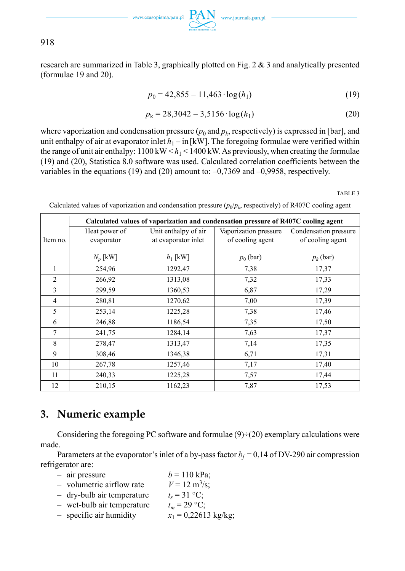

 $\text{www.czasopisma.pan.pl}\ \underset{\text{sum.}}{\text{PAN}}\ \ \text{www.journals.pan.pl}$ 

918

research are summarized in Table 3, graphically plotted on Fig.  $2 \& 3$  and analytically presented (formulae 19 and 20).

$$
p_0 = 42,855 - 11,463 \cdot \log(h_1) \tag{19}
$$

$$
p_k = 28,3042 - 3,5156 \cdot \log(h_1)
$$
 (20)

where vaporization and condensation pressure  $(p_0$  and  $p_k$ , respectively) is expressed in [bar], and unit enthalpy of air at evaporator inlet  $h_1 - \text{in}$  [kW]. The foregoing formulae were verified within the range of unit air enthalpy:  $1100 \text{ kW} < h_1 < 1400 \text{ kW}$ . As previously, when creating the formulae (19) and (20), Statistica 8.0 software was used. Calculated correlation coefficients between the variables in the equations (19) and (20) amount to: –0,7369 and –0,9958, respectively.

TABLE 3

|                | Calculated values of vaporization and condensation pressure of R407C cooling agent |                      |                       |                       |  |  |  |  |
|----------------|------------------------------------------------------------------------------------|----------------------|-----------------------|-----------------------|--|--|--|--|
|                | Heat power of                                                                      | Unit enthalpy of air | Vaporization pressure | Condensation pressure |  |  |  |  |
| Item no.       | evaporator                                                                         | at evaporator inlet  | of cooling agent      | of cooling agent      |  |  |  |  |
|                |                                                                                    |                      |                       |                       |  |  |  |  |
|                | $N_p$ [kW]                                                                         | $h_1$ [kW]           | $p_0$ (bar)           | $p_k$ (bar)           |  |  |  |  |
| 1              | 254,96                                                                             | 1292,47              | 7,38                  | 17,37                 |  |  |  |  |
| $\overline{2}$ | 266,92                                                                             | 1313,08              | 7,32                  | 17,33                 |  |  |  |  |
| 3              | 299,59                                                                             | 1360,53              | 6,87                  | 17,29                 |  |  |  |  |
| 4              | 280,81                                                                             | 1270,62              | 7,00                  | 17,39                 |  |  |  |  |
| 5              | 253,14                                                                             | 1225,28              | 7,38                  | 17,46                 |  |  |  |  |
| 6              | 246,88                                                                             | 1186,54              | 7,35                  | 17,50                 |  |  |  |  |
| 7              | 241,75                                                                             | 1284,14              | 7,63                  | 17,37                 |  |  |  |  |
| 8              | 278,47                                                                             | 1313,47              | 7,14                  | 17,35                 |  |  |  |  |
| 9              | 308,46                                                                             | 1346,38              | 6,71                  | 17,31                 |  |  |  |  |
| 10             | 267,78                                                                             | 1257,46              | 7,17                  | 17,40                 |  |  |  |  |
| 11             | 240,33                                                                             | 1225,28              | 7,57                  | 17,44                 |  |  |  |  |
| 12             | 210,15                                                                             | 1162,23              | 7,87                  | 17,53                 |  |  |  |  |

Calculated values of vaporization and condensation pressure  $(p_0/p_k)$ , respectively) of R407C cooling agent

# **3. Numeric example**

Considering the foregoing PC software and formulae  $(9) \div (20)$  exemplary calculations were made.

Parameters at the evaporator's inlet of a by-pass factor  $b_f = 0,14$  of DV-290 air compression refrigerator are:

- $-$  air pressure  $b = 110 \text{ kPa}$ ;
- volumetric airflow rate  $V = 12 \text{ m}^3/\text{s}$ ;
- dry-bulb air temperature  $t_s = 31 \text{ °C}$ ;<br>– wet-bulb air temperature  $t_m = 29 \text{ °C}$ ;
- $-$  wet-bulb air temperature
- specific air humidity  $x_1 = 0,22613$  kg/kg;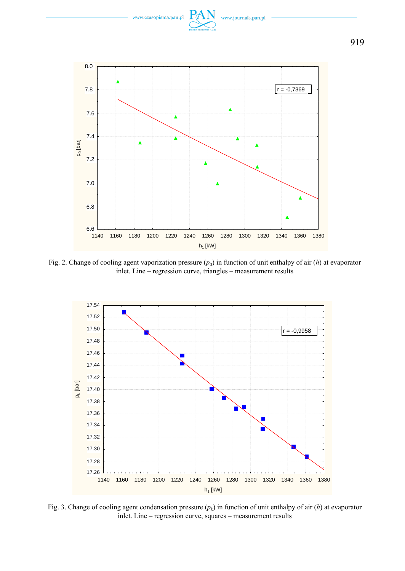

Fig. 2. Change of cooling agent vaporization pressure  $(p_0)$  in function of unit enthalpy of air  $(h)$  at evaporator inlet. Line – regression curve, triangles – measurement results



Fig. 3. Change of cooling agent condensation pressure (*pk*) in function of unit enthalpy of air (*h*) at evaporator inlet. Line – regression curve, squares – measurement results